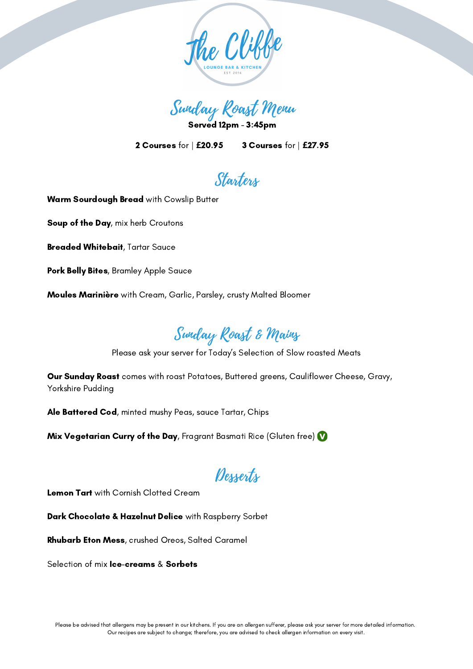

Sunday Roast Menu

Served 12pm - 3:45pm

2 Courses for | **£**20.95 3 Courses for | **£**27.95

## Starters

Warm Sourdough Bread with Cowslip Butter

Soup of the Day, mix herb Croutons

Breaded Whitebait, Tartar Sauce

Pork Belly Bites, Bramley Apple Sauce

Moules Marinière with Cream, Garlic, Parsley, crusty Malted Bloomer

## Sunday Roast & Mains

Please ask your server for Today's Selection of Slow roasted Meats

**Our Sunday Roast** comes with roast Potatoes, Buttered greens, Cauliflower Cheese, Gravy, Yorkshire Pudding

Ale Battered Cod, minted mushy Peas, sauce Tartar, Chips

Mix Vegetarian Curry of the Day, Fragrant Basmati Rice (Gluten free)  $\bf{V}$ 

## Desserts

Lemon Tart with Cornish Clotted Cream

Dark Chocolate & Hazelnut Delice with Raspberry Sorbet

Rhubarb Eton Mess, crushed Oreos, Salted Caramel

Selection of mix **Ice-creams & Sorbets**